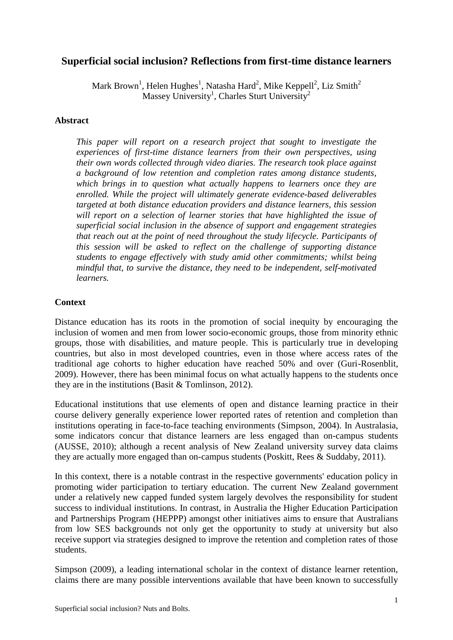# **Superficial social inclusion? Reflections from first-time distance learners**

Mark Brown $^1$ , Helen Hughes $^1$ , Natasha Hard $^2$ , Mike Keppell $^2$ , Liz Smith $^2$ Massey University<sup>1</sup>, Charles Sturt University<sup>2</sup>

### **Abstract**

*This paper will report on a research project that sought to investigate the experiences of first-time distance learners from their own perspectives, using their own words collected through video diaries. The research took place against a background of low retention and completion rates among distance students, which brings in to question what actually happens to learners once they are enrolled. While the project will ultimately generate evidence-based deliverables targeted at both distance education providers and distance learners, this session will report on a selection of learner stories that have highlighted the issue of superficial social inclusion in the absence of support and engagement strategies that reach out at the point of need throughout the study lifecycle. Participants of this session will be asked to reflect on the challenge of supporting distance students to engage effectively with study amid other commitments; whilst being mindful that, to survive the distance, they need to be independent, self-motivated learners.* 

### **Context**

Distance education has its roots in the promotion of social inequity by encouraging the inclusion of women and men from lower socio-economic groups, those from minority ethnic groups, those with disabilities, and mature people. This is particularly true in developing countries, but also in most developed countries, even in those where access rates of the traditional age cohorts to higher education have reached 50% and over (Guri-Rosenblit, 2009). However, there has been minimal focus on what actually happens to the students once they are in the institutions (Basit & Tomlinson, 2012).

Educational institutions that use elements of open and distance learning practice in their course delivery generally experience lower reported rates of retention and completion than institutions operating in face-to-face teaching environments (Simpson, 2004). In Australasia, some indicators concur that distance learners are less engaged than on-campus students (AUSSE, 2010); although a recent analysis of New Zealand university survey data claims they are actually more engaged than on-campus students (Poskitt, Rees & Suddaby, 2011).

In this context, there is a notable contrast in the respective governments' education policy in promoting wider participation to tertiary education. The current New Zealand government under a relatively new capped funded system largely devolves the responsibility for student success to individual institutions. In contrast, in Australia the Higher Education Participation and Partnerships Program (HEPPP) amongst other initiatives aims to ensure that Australians from low SES backgrounds not only get the opportunity to study at university but also receive support via strategies designed to improve the retention and completion rates of those students.

Simpson (2009), a leading international scholar in the context of distance learner retention, claims there are many possible interventions available that have been known to successfully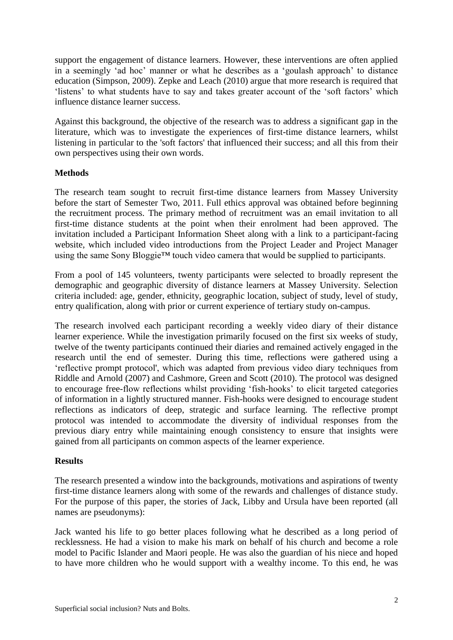support the engagement of distance learners. However, these interventions are often applied in a seemingly 'ad hoc' manner or what he describes as a 'goulash approach' to distance education (Simpson, 2009). Zepke and Leach (2010) argue that more research is required that 'listens' to what students have to say and takes greater account of the 'soft factors' which influence distance learner success.

Against this background, the objective of the research was to address a significant gap in the literature, which was to investigate the experiences of first-time distance learners, whilst listening in particular to the 'soft factors' that influenced their success; and all this from their own perspectives using their own words.

### **Methods**

The research team sought to recruit first-time distance learners from Massey University before the start of Semester Two, 2011. Full ethics approval was obtained before beginning the recruitment process. The primary method of recruitment was an email invitation to all first-time distance students at the point when their enrolment had been approved. The invitation included a Participant Information Sheet along with a link to a participant-facing website, which included video introductions from the Project Leader and Project Manager using the same Sony Bloggie™ touch video camera that would be supplied to participants.

From a pool of 145 volunteers, twenty participants were selected to broadly represent the demographic and geographic diversity of distance learners at Massey University. Selection criteria included: age, gender, ethnicity, geographic location, subject of study, level of study, entry qualification, along with prior or current experience of tertiary study on-campus.

The research involved each participant recording a weekly video diary of their distance learner experience. While the investigation primarily focused on the first six weeks of study, twelve of the twenty participants continued their diaries and remained actively engaged in the research until the end of semester. During this time, reflections were gathered using a 'reflective prompt protocol', which was adapted from previous video diary techniques from Riddle and Arnold (2007) and Cashmore, Green and Scott (2010). The protocol was designed to encourage free-flow reflections whilst providing 'fish-hooks' to elicit targeted categories of information in a lightly structured manner. Fish-hooks were designed to encourage student reflections as indicators of deep, strategic and surface learning. The reflective prompt protocol was intended to accommodate the diversity of individual responses from the previous diary entry while maintaining enough consistency to ensure that insights were gained from all participants on common aspects of the learner experience.

### **Results**

The research presented a window into the backgrounds, motivations and aspirations of twenty first-time distance learners along with some of the rewards and challenges of distance study. For the purpose of this paper, the stories of Jack, Libby and Ursula have been reported (all names are pseudonyms):

Jack wanted his life to go better places following what he described as a long period of recklessness. He had a vision to make his mark on behalf of his church and become a role model to Pacific Islander and Maori people. He was also the guardian of his niece and hoped to have more children who he would support with a wealthy income. To this end, he was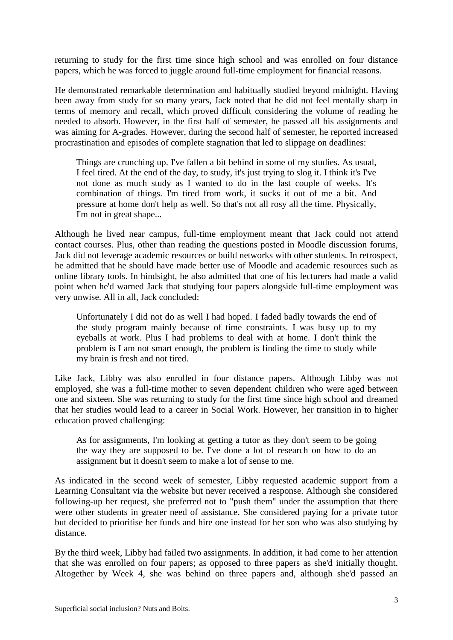returning to study for the first time since high school and was enrolled on four distance papers, which he was forced to juggle around full-time employment for financial reasons.

He demonstrated remarkable determination and habitually studied beyond midnight. Having been away from study for so many years, Jack noted that he did not feel mentally sharp in terms of memory and recall, which proved difficult considering the volume of reading he needed to absorb. However, in the first half of semester, he passed all his assignments and was aiming for A-grades. However, during the second half of semester, he reported increased procrastination and episodes of complete stagnation that led to slippage on deadlines:

Things are crunching up. I've fallen a bit behind in some of my studies. As usual, I feel tired. At the end of the day, to study, it's just trying to slog it. I think it's I've not done as much study as I wanted to do in the last couple of weeks. It's combination of things. I'm tired from work, it sucks it out of me a bit. And pressure at home don't help as well. So that's not all rosy all the time. Physically, I'm not in great shape...

Although he lived near campus, full-time employment meant that Jack could not attend contact courses. Plus, other than reading the questions posted in Moodle discussion forums, Jack did not leverage academic resources or build networks with other students. In retrospect, he admitted that he should have made better use of Moodle and academic resources such as online library tools. In hindsight, he also admitted that one of his lecturers had made a valid point when he'd warned Jack that studying four papers alongside full-time employment was very unwise. All in all, Jack concluded:

Unfortunately I did not do as well I had hoped. I faded badly towards the end of the study program mainly because of time constraints. I was busy up to my eyeballs at work. Plus I had problems to deal with at home. I don't think the problem is I am not smart enough, the problem is finding the time to study while my brain is fresh and not tired.

Like Jack, Libby was also enrolled in four distance papers. Although Libby was not employed, she was a full-time mother to seven dependent children who were aged between one and sixteen. She was returning to study for the first time since high school and dreamed that her studies would lead to a career in Social Work. However, her transition in to higher education proved challenging:

As for assignments, I'm looking at getting a tutor as they don't seem to be going the way they are supposed to be. I've done a lot of research on how to do an assignment but it doesn't seem to make a lot of sense to me.

As indicated in the second week of semester, Libby requested academic support from a Learning Consultant via the website but never received a response. Although she considered following-up her request, she preferred not to "push them" under the assumption that there were other students in greater need of assistance. She considered paying for a private tutor but decided to prioritise her funds and hire one instead for her son who was also studying by distance.

By the third week, Libby had failed two assignments. In addition, it had come to her attention that she was enrolled on four papers; as opposed to three papers as she'd initially thought. Altogether by Week 4, she was behind on three papers and, although she'd passed an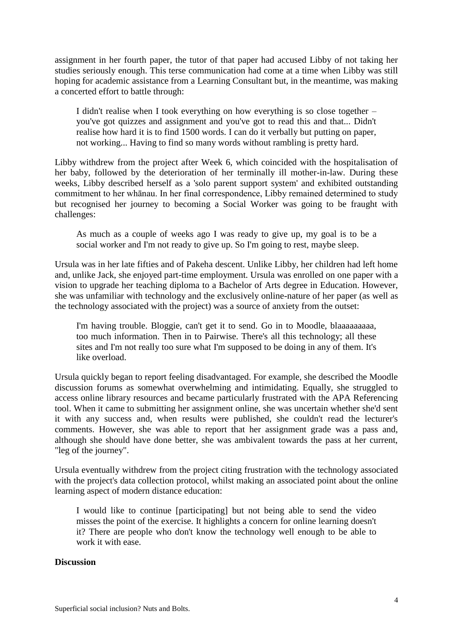assignment in her fourth paper, the tutor of that paper had accused Libby of not taking her studies seriously enough. This terse communication had come at a time when Libby was still hoping for academic assistance from a Learning Consultant but, in the meantime, was making a concerted effort to battle through:

I didn't realise when I took everything on how everything is so close together – you've got quizzes and assignment and you've got to read this and that... Didn't realise how hard it is to find 1500 words. I can do it verbally but putting on paper, not working... Having to find so many words without rambling is pretty hard.

Libby withdrew from the project after Week 6, which coincided with the hospitalisation of her baby, followed by the deterioration of her terminally ill mother-in-law. During these weeks, Libby described herself as a 'solo parent support system' and exhibited outstanding commitment to her whānau. In her final correspondence, Libby remained determined to study but recognised her journey to becoming a Social Worker was going to be fraught with challenges:

As much as a couple of weeks ago I was ready to give up, my goal is to be a social worker and I'm not ready to give up. So I'm going to rest, maybe sleep.

Ursula was in her late fifties and of Pakeha descent. Unlike Libby, her children had left home and, unlike Jack, she enjoyed part-time employment. Ursula was enrolled on one paper with a vision to upgrade her teaching diploma to a Bachelor of Arts degree in Education. However, she was unfamiliar with technology and the exclusively online-nature of her paper (as well as the technology associated with the project) was a source of anxiety from the outset:

I'm having trouble. Bloggie, can't get it to send. Go in to Moodle, blaaaaaaaaa, too much information. Then in to Pairwise. There's all this technology; all these sites and I'm not really too sure what I'm supposed to be doing in any of them. It's like overload.

Ursula quickly began to report feeling disadvantaged. For example, she described the Moodle discussion forums as somewhat overwhelming and intimidating. Equally, she struggled to access online library resources and became particularly frustrated with the APA Referencing tool. When it came to submitting her assignment online, she was uncertain whether she'd sent it with any success and, when results were published, she couldn't read the lecturer's comments. However, she was able to report that her assignment grade was a pass and, although she should have done better, she was ambivalent towards the pass at her current, "leg of the journey".

Ursula eventually withdrew from the project citing frustration with the technology associated with the project's data collection protocol, whilst making an associated point about the online learning aspect of modern distance education:

I would like to continue [participating] but not being able to send the video misses the point of the exercise. It highlights a concern for online learning doesn't it? There are people who don't know the technology well enough to be able to work it with ease.

### **Discussion**